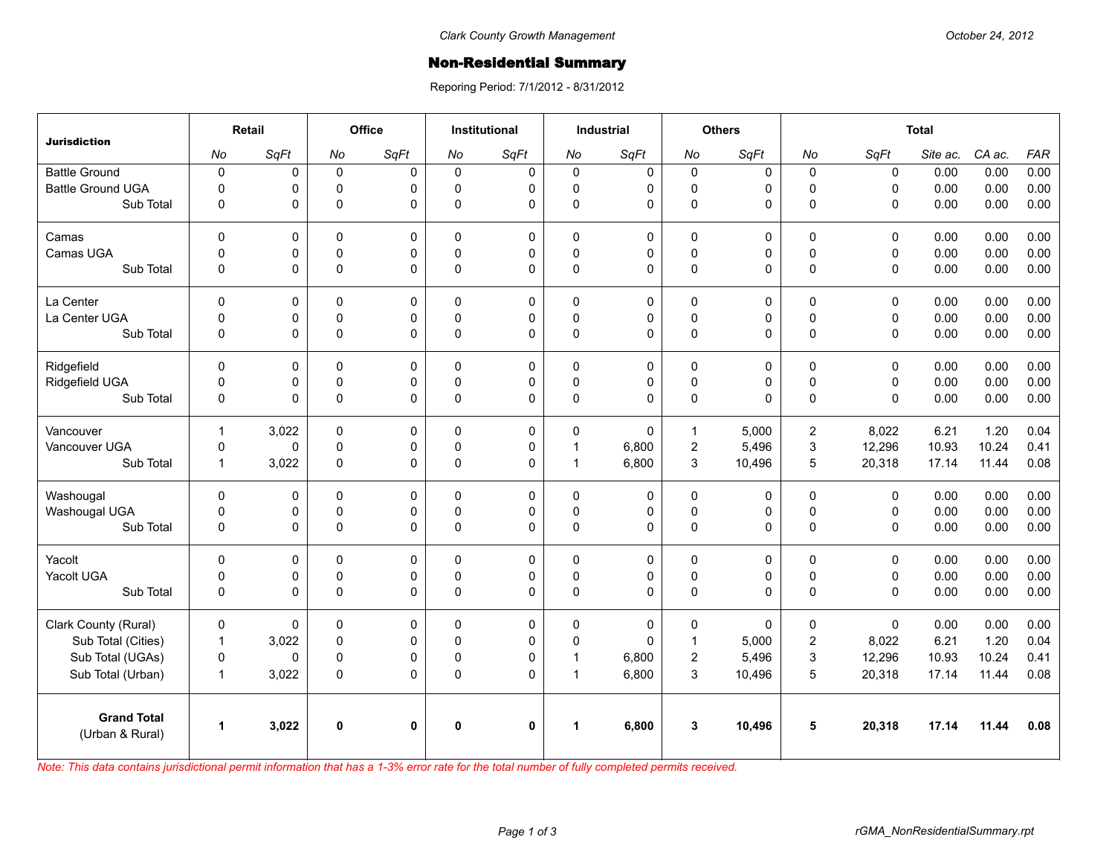## **Non-Residential Summary**

Reporing Period: 7/1/2012 - 8/31/2012

| <b>Jurisdiction</b>                   | Retail               |       | <b>Office</b> |              | <b>Institutional</b> |              | <b>Industrial</b>    |              | <b>Others</b>    |             | <b>Total</b>   |              |          |        |            |
|---------------------------------------|----------------------|-------|---------------|--------------|----------------------|--------------|----------------------|--------------|------------------|-------------|----------------|--------------|----------|--------|------------|
|                                       | No                   | SqFt  | No            | SqFt         | No                   | SqFt         | No                   | SqFt         | No               | SqFt        | No             | SqFt         | Site ac. | CA ac. | <b>FAR</b> |
| <b>Battle Ground</b>                  | $\pmb{0}$            | 0     | $\mathbf 0$   | $\Omega$     | $\mathbf 0$          | $\mathbf 0$  | $\mathbf 0$          | 0            | $\mathbf 0$      | $\mathbf 0$ | $\mathbf 0$    | $\mathbf 0$  | 0.00     | 0.00   | 0.00       |
| <b>Battle Ground UGA</b>              | $\mathbf 0$          | 0     | 0             | 0            | 0                    | 0            | $\mathbf 0$          | 0            | $\mathsf 0$      | 0           | $\pmb{0}$      | $\mathsf 0$  | 0.00     | 0.00   | 0.00       |
| Sub Total                             | 0                    | 0     | $\pmb{0}$     | $\Omega$     | $\Omega$             | $\Omega$     | $\pmb{0}$            | $\Omega$     | $\pmb{0}$        | 0           | $\mathbf{0}$   | $\mathbf{0}$ | 0.00     | 0.00   | 0.00       |
| Camas                                 | $\mathbf{0}$         | 0     | $\Omega$      | $\mathbf{0}$ | $\Omega$             | $\mathbf 0$  | $\Omega$             | $\mathbf 0$  | $\Omega$         | $\Omega$    | $\Omega$       | $\mathbf{0}$ | 0.00     | 0.00   | 0.00       |
| Camas UGA                             | $\mathbf 0$          | 0     | $\mathbf 0$   | $\Omega$     | $\mathbf{0}$         | 0            | $\mathbf 0$          | 0            | $\pmb{0}$        | 0           | $\pmb{0}$      | $\mathbf 0$  | 0.00     | 0.00   | 0.00       |
| Sub Total                             | $\mathbf 0$          | 0     | $\pmb{0}$     | 0            | 0                    | 0            | $\mathbf 0$          | 0            | $\pmb{0}$        | 0           | $\mathbf 0$    | $\mathsf 0$  | 0.00     | 0.00   | 0.00       |
| La Center                             | $\mathbf 0$          | 0     | $\mathbf 0$   | 0            | $\Omega$             | 0            | 0                    | 0            | $\mathbf 0$      | 0           | $\mathbf 0$    | $\mathbf 0$  | 0.00     | 0.00   | 0.00       |
| La Center UGA                         | 0                    | 0     | 0             | 0            | 0                    | 0            | $\mathbf 0$          | $\pmb{0}$    | $\pmb{0}$        | 0           | $\pmb{0}$      | $\pmb{0}$    | 0.00     | 0.00   | 0.00       |
| Sub Total                             | $\mathbf 0$          | 0     | $\pmb{0}$     | $\Omega$     | $\mathbf{0}$         | $\Omega$     | $\pmb{0}$            | $\Omega$     | $\pmb{0}$        | 0           | $\mathbf{0}$   | $\mathbf{0}$ | 0.00     | 0.00   | 0.00       |
| Ridgefield                            | $\mathbf{0}$         | 0     | $\mathbf 0$   | $\Omega$     | $\Omega$             | 0            | $\Omega$             | $\mathbf 0$  | $\Omega$         | 0           | $\Omega$       | $\mathbf{0}$ | 0.00     | 0.00   | 0.00       |
| Ridgefield UGA                        | 0                    | 0     | 0             | 0            | $\mathbf{0}$         | 0            | $\mathsf 0$          | 0            | $\pmb{0}$        | 0           | $\pmb{0}$      | $\mathbf 0$  | 0.00     | 0.00   | 0.00       |
| Sub Total                             | 0                    | 0     | $\pmb{0}$     | $\mathbf 0$  | 0                    | 0            | $\pmb{0}$            | $\mathbf 0$  | $\mathsf 0$      | 0           | $\mathbf 0$    | $\mathbf{0}$ | 0.00     | 0.00   | 0.00       |
| Vancouver                             | $\mathbf{1}$         | 3,022 | 0             | 0            | $\Omega$             | $\mathbf 0$  | $\mathbf 0$          | $\mathbf{0}$ | $\mathbf{1}$     | 5,000       | $\overline{2}$ | 8,022        | 6.21     | 1.20   | 0.04       |
| Vancouver UGA                         | $\pmb{0}$            | 0     | $\mathsf 0$   | 0            | $\mathbf 0$          | 0            | $\mathbf{1}$         | 6,800        | $\boldsymbol{2}$ | 5,496       | $\mathbf{3}$   | 12,296       | 10.93    | 10.24  | 0.41       |
| Sub Total                             | $\mathbf{1}$         | 3,022 | $\mathbf 0$   | $\Omega$     | $\mathbf{0}$         | $\Omega$     | $\mathbf{1}$         | 6,800        | 3                | 10,496      | 5              | 20,318       | 17.14    | 11.44  | 0.08       |
| Washougal                             | $\mathbf{0}$         | 0     | $\mathbf 0$   | $\Omega$     | $\mathbf{0}$         | $\mathbf 0$  | $\mathbf 0$          | $\mathbf 0$  | $\mathbf 0$      | 0           | $\mathbf 0$    | $\mathbf{0}$ | 0.00     | 0.00   | 0.00       |
| Washougal UGA                         | 0                    | 0     | 0             | 0            | $\mathbf{0}$         | 0            | 0                    | 0            | $\pmb{0}$        | 0           | $\pmb{0}$      | $\mathbf 0$  | 0.00     | 0.00   | 0.00       |
| Sub Total                             | 0                    | 0     | $\pmb{0}$     | 0            | 0                    | 0            | $\pmb{0}$            | 0            | $\pmb{0}$        | 0           | $\mathbf 0$    | $\mathsf 0$  | 0.00     | 0.00   | 0.00       |
| Yacolt                                | 0                    | 0     | $\mathbf 0$   | 0            | $\Omega$             | $\mathbf 0$  | $\mathbf 0$          | 0            | $\mathbf 0$      | 0           | $\mathbf 0$    | $\mathbf 0$  | 0.00     | 0.00   | 0.00       |
| Yacolt UGA                            | $\mathsf 0$          | 0     | 0             | $\mathbf 0$  | $\mathbf 0$          | 0            | 0                    | $\pmb{0}$    | $\pmb{0}$        | 0           | $\pmb{0}$      | $\pmb{0}$    | 0.00     | 0.00   | 0.00       |
| Sub Total                             | $\mathbf{0}$         | 0     | $\Omega$      | $\Omega$     | $\Omega$             | $\Omega$     | $\Omega$             | $\Omega$     | $\pmb{0}$        | 0           | $\Omega$       | $\Omega$     | 0.00     | 0.00   | 0.00       |
| Clark County (Rural)                  | $\mathbf 0$          | 0     | $\mathbf 0$   | $\Omega$     | $\mathbf{0}$         | $\mathbf 0$  | $\mathbf 0$          | 0            | $\mathbf 0$      | $\mathbf 0$ | $\mathbf 0$    | $\mathbf{0}$ | 0.00     | 0.00   | 0.00       |
| Sub Total (Cities)                    | $\mathbf{1}$         | 3,022 | $\mathbf 0$   | $\Omega$     | $\Omega$             | 0            | $\mathbf 0$          | $\Omega$     | $\mathbf{1}$     | 5,000       | $\overline{2}$ | 8,022        | 6.21     | 1.20   | 0.04       |
| Sub Total (UGAs)                      | $\mathsf 0$          | 0     | $\mathsf 0$   | 0            | $\mathbf{0}$         | 0            | 1                    | 6,800        | $\mathbf 2$      | 5,496       | 3              | 12,296       | 10.93    | 10.24  | 0.41       |
| Sub Total (Urban)                     | $\mathbf{1}$         | 3,022 | $\pmb{0}$     | $\Omega$     | $\mathbf{0}$         | $\Omega$     | $\mathbf{1}$         | 6,800        | 3                | 10,496      | 5              | 20,318       | 17.14    | 11.44  | 0.08       |
| <b>Grand Total</b><br>(Urban & Rural) | $\blacktriangleleft$ | 3,022 | $\mathbf{0}$  | $\mathbf{0}$ | $\mathbf{0}$         | $\mathbf{0}$ | $\blacktriangleleft$ | 6,800        | 3                | 10,496      | 5              | 20,318       | 17.14    | 11.44  | 0.08       |

*Note: This data contains jurisdictional permit information that has a 1-3% error rate for the total number of fully completed permits received.*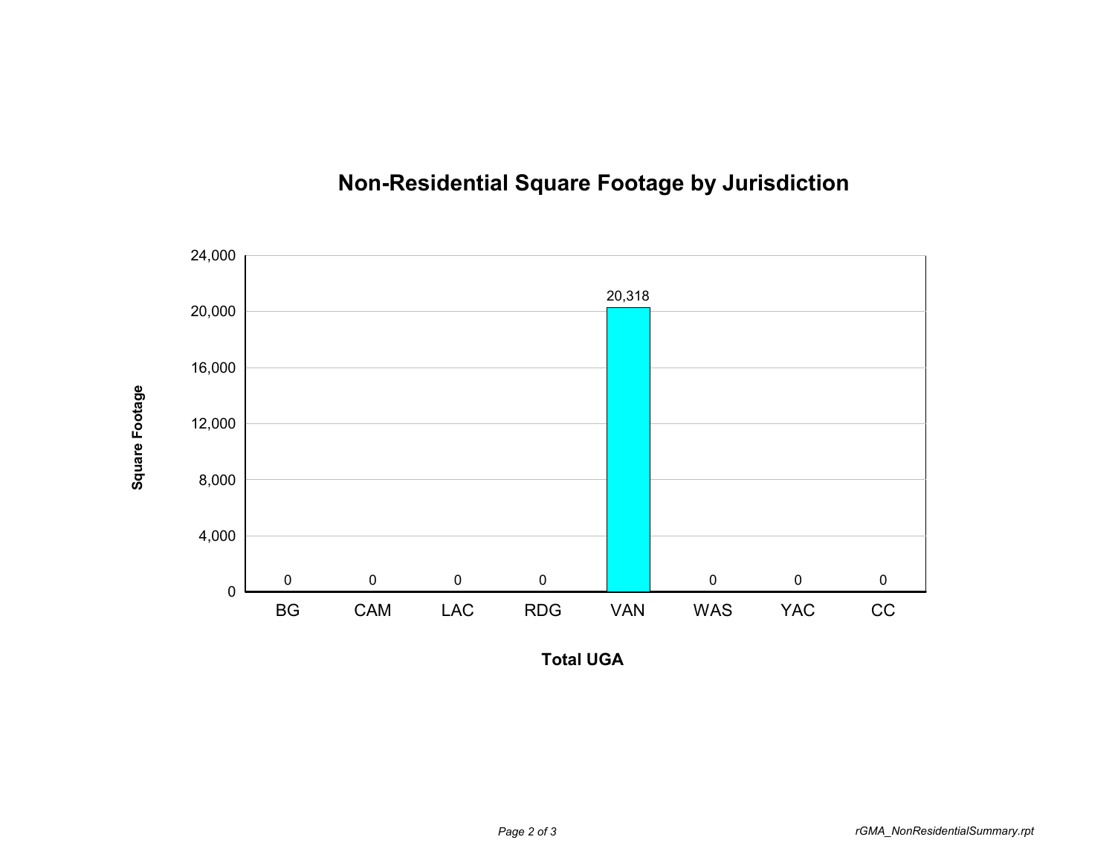



**Total UGA**